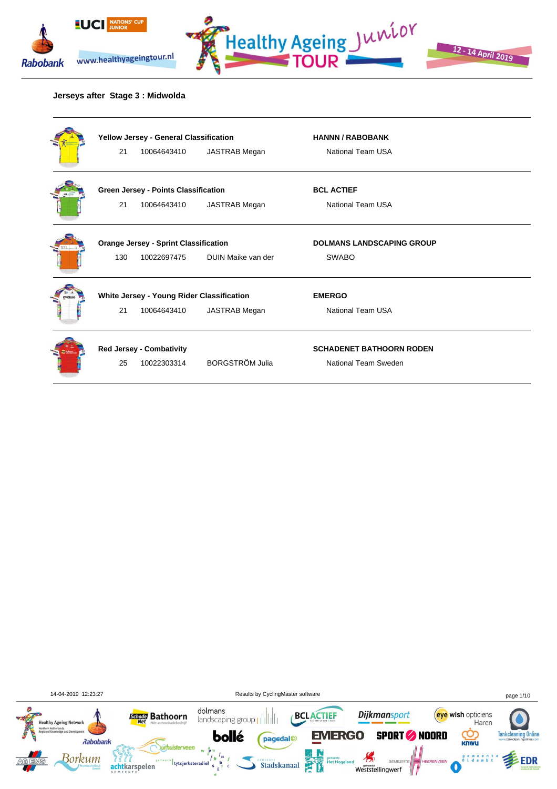





### **Jerseys after Stage 3 : Midwolda**

| Yellow Jersey - General Classification       |                                           |                        | <b>HANNN / RABOBANK</b>          |  |
|----------------------------------------------|-------------------------------------------|------------------------|----------------------------------|--|
| 21                                           | 10064643410                               | JASTRAB Megan          | National Team USA                |  |
| Green Jersey - Points Classification         |                                           |                        | <b>BCL ACTIEF</b>                |  |
| 21                                           | 10064643410                               | JASTRAB Megan          | National Team USA                |  |
| <b>Orange Jersey - Sprint Classification</b> |                                           |                        | <b>DOLMANS LANDSCAPING GROUP</b> |  |
| 130                                          | 10022697475                               | DUIN Maike van der     | <b>SWABO</b>                     |  |
|                                              | White Jersey - Young Rider Classification |                        | <b>EMERGO</b>                    |  |
| 21                                           | 10064643410                               | JASTRAB Megan          | National Team USA                |  |
|                                              | <b>Red Jersey - Combativity</b>           |                        | <b>SCHADENET BATHOORN RODEN</b>  |  |
| 25                                           | 10022303314                               | <b>BORGSTRÖM Julia</b> | National Team Sweden             |  |
|                                              |                                           |                        |                                  |  |

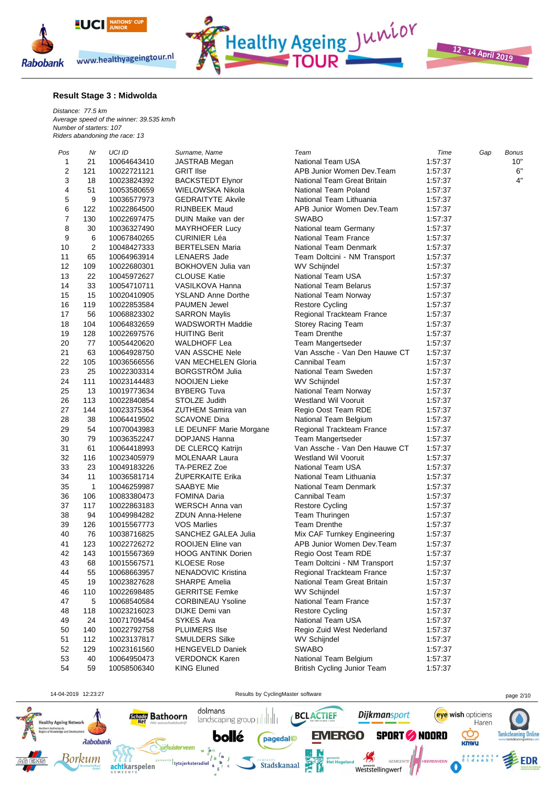

**Result Stage 3 : Midwolda**

*Distance: 77.5 km Average speed of the winner: 39.535 km/h Number of starters: 107 Riders abandoning the race: 13*

| Pos                     | Nr             | UCI ID      | Surname, Name             | Team                                        | Time    | Gap | <b>Bonus</b> |
|-------------------------|----------------|-------------|---------------------------|---------------------------------------------|---------|-----|--------------|
| 1                       | 21             | 10064643410 | <b>JASTRAB Megan</b>      | National Team USA                           | 1:57:37 |     | 10"          |
| $\overline{\mathbf{c}}$ | 121            | 10022721121 | <b>GRIT Ilse</b>          | APB Junior Women Dev.Team                   | 1:57:37 |     | 6"           |
| 3                       | 18             | 10023824392 | <b>BACKSTEDT Elynor</b>   | National Team Great Britain                 | 1:57:37 |     | 4"           |
| 4                       | 51             | 10053580659 | WIELOWSKA Nikola          | National Team Poland                        | 1:57:37 |     |              |
| 5                       | 9              | 10036577973 | <b>GEDRAITYTE Akvile</b>  | National Team Lithuania                     | 1:57:37 |     |              |
| 6                       | 122            | 10022864500 | <b>RIJNBEEK Maud</b>      | APB Junior Women Dev.Team                   | 1:57:37 |     |              |
| 7                       | 130            | 10022697475 | DUIN Maike van der        | <b>SWABO</b>                                | 1.57:37 |     |              |
| 8                       | 30             | 10036327490 | <b>MAYRHOFER Lucy</b>     | National team Germany                       | 1:57:37 |     |              |
| 9                       | 6              | 10067840265 | <b>CURINIER Léa</b>       | National Team France                        | 1:57:37 |     |              |
| 10                      | $\overline{2}$ | 10048427333 | <b>BERTELSEN Maria</b>    | National Team Denmark                       | 1:57:37 |     |              |
| 11                      | 65             | 10064963914 | <b>LENAERS</b> Jade       | Team Doltcini - NM Transport                | 1:57:37 |     |              |
| 12                      | 109            | 10022680301 | BOKHOVEN Julia van        | <b>WV Schijndel</b>                         | 1:57:37 |     |              |
| 13                      | 22             | 10045972627 | <b>CLOUSE Katie</b>       | <b>National Team USA</b>                    | 1:57:37 |     |              |
| 14                      | 33             | 10054710711 | VASILKOVA Hanna           | <b>National Team Belarus</b>                | 1:57:37 |     |              |
| 15                      | 15             | 10020410905 | <b>YSLAND Anne Dorthe</b> | National Team Norway                        | 1:57:37 |     |              |
| 16                      | 119            | 10022853584 | <b>PAUMEN Jewel</b>       | <b>Restore Cycling</b>                      | 1:57:37 |     |              |
| 17                      | 56             | 10068823302 | <b>SARRON Maylis</b>      | Regional Trackteam France                   | 1:57:37 |     |              |
| 18                      | 104            | 10064832659 | WADSWORTH Maddie          | Storey Racing Team                          | 1:57:37 |     |              |
| 19                      | 128            | 10022697576 | <b>HUITING Berit</b>      | <b>Team Drenthe</b>                         | 1:57:37 |     |              |
| 20                      | 77             | 10054420620 | <b>WALDHOFF Lea</b>       | Team Mangertseder                           | 1:57:37 |     |              |
| 21                      | 63             | 10064928750 | VAN ASSCHE Nele           | Van Assche - Van Den Hauwe CT               | 1:57:37 |     |              |
| 22                      | 105            | 10036566556 | VAN MECHELEN Gloria       | Cannibal Team                               | 1:57:37 |     |              |
| 23                      | 25             |             | <b>BORGSTRÖM Julia</b>    | National Team Sweden                        | 1:57:37 |     |              |
| 24                      | 111            | 10022303314 | NOOIJEN Lieke             |                                             | 1:57:37 |     |              |
| 25                      | 13             | 10023144483 | <b>BYBERG Tuva</b>        | <b>WV Schijndel</b><br>National Team Norway |         |     |              |
| 26                      |                | 10019773634 |                           |                                             | 1:57:37 |     |              |
| 27                      | 113            | 10022840854 | STOLZE Judith             | <b>Westland Wil Vooruit</b>                 | 1:57:37 |     |              |
|                         | 144            | 10023375364 | ZUTHEM Samira van         | Regio Oost Team RDE                         | 1:57:37 |     |              |
| 28<br>29                | 38             | 10064419502 | <b>SCAVONE Dina</b>       | National Team Belgium                       | 1:57:37 |     |              |
|                         | 54             | 10070043983 | LE DEUNFF Marie Morgane   | Regional Trackteam France                   | 1:57:37 |     |              |
| 30                      | 79             | 10036352247 | <b>DOPJANS Hanna</b>      | Team Mangertseder                           | 1:57:37 |     |              |
| 31                      | 61             | 10064418993 | DE CLERCQ Katrijn         | Van Assche - Van Den Hauwe CT               | 1:57:37 |     |              |
| 32                      | 116            | 10023405979 | <b>MOLENAAR Laura</b>     | <b>Westland Wil Vooruit</b>                 | 1:57:37 |     |              |
| 33                      | 23             | 10049183226 | TA-PEREZ Zoe              | <b>National Team USA</b>                    | 1:57:37 |     |              |
| 34                      | 11             | 10036581714 | <b>ZUPERKAITE Erika</b>   | National Team Lithuania                     | 1:57:37 |     |              |
| 35                      | $\mathbf{1}$   | 10046259987 | SAABYE Mie                | National Team Denmark                       | 1:57:37 |     |              |
| 36                      | 106            | 10083380473 | <b>FOMINA Daria</b>       | Cannibal Team                               | 1:57:37 |     |              |
| 37                      | 117            | 10022863183 | WERSCH Anna van           | <b>Restore Cycling</b>                      | 1:57:37 |     |              |
| 38                      | 94             | 10049984282 | <b>ZDUN Anna-Helene</b>   | Team Thuringen                              | 1:57:37 |     |              |
| 39                      | 126            | 10015567773 | <b>VOS Marlies</b>        | <b>Team Drenthe</b>                         | 1:57:37 |     |              |
| 40                      | 76             | 10038716825 | SANCHEZ GALEA Julia       | Mix CAF Turnkey Engineering                 | 1:57:37 |     |              |
| 41                      | 123            | 10022726272 | ROOIJEN Eline van         | APB Junior Women Dev.Team                   | 1:57:37 |     |              |
| 42                      | 143            | 10015567369 | <b>HOOG ANTINK Dorien</b> | Regio Oost Team RDE                         | 1:57:37 |     |              |
| 43                      | 68             | 10015567571 | <b>KLOESE Rose</b>        | Team Doltcini - NM Transport                | 1:57:37 |     |              |
| 44                      | 55             | 10068663957 | NENADOVIC Kristina        | Regional Trackteam France                   | 1:57:37 |     |              |
| 45                      | 19             | 10023827628 | <b>SHARPE Amelia</b>      | National Team Great Britain                 | 1:57:37 |     |              |
| 46                      | 110            | 10022698485 | <b>GERRITSE Femke</b>     | <b>WV Schijndel</b>                         | 1:57:37 |     |              |
| 47                      | 5              | 10068540584 | <b>CORBINEAU Ysoline</b>  | National Team France                        | 1.57.37 |     |              |
| 48                      | 118            | 10023216023 | DIJKE Demi van            | <b>Restore Cycling</b>                      | 1:57:37 |     |              |
| 49                      | 24             | 10071709454 | SYKES Ava                 | National Team USA                           | 1.57.37 |     |              |
| 50                      | 140            | 10022792758 | <b>PLUIMERS IIse</b>      | Regio Zuid West Nederland                   | 1.57.37 |     |              |
| 51                      | 112            | 10023137817 | <b>SMULDERS Silke</b>     | <b>WV Schijndel</b>                         | 1:57:37 |     |              |
| 52                      | 129            | 10023161560 | <b>HENGEVELD Daniek</b>   | <b>SWABO</b>                                | 1:57:37 |     |              |
| 53                      | 40             | 10064950473 | <b>VERDONCK Karen</b>     | National Team Belgium                       | 1:57:37 |     |              |
| 54                      | 59             | 10058506340 | <b>KING Eluned</b>        | <b>British Cycling Junior Team</b>          | 1:57:37 |     |              |

Healthy Ageing Junior

12 - 14 April 2019

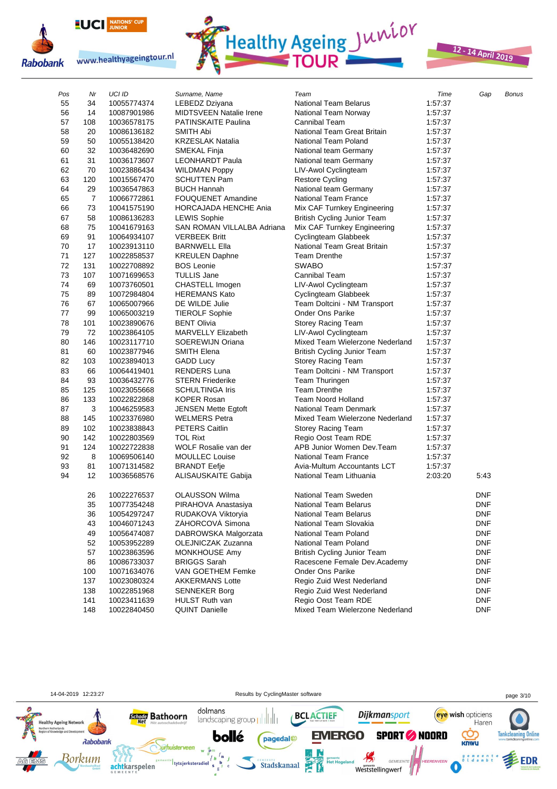

**Rabobank** 





# 12 - 14 April 2019

| Pos | Nr  | UCI ID      | Surname, Name                | Team                            | Time    | Gap        | Bonus |
|-----|-----|-------------|------------------------------|---------------------------------|---------|------------|-------|
| 55  | 34  | 10055774374 | LEBEDZ Dziyana               | <b>National Team Belarus</b>    | 1:57:37 |            |       |
| 56  | 14  | 10087901986 | MIDTSVEEN Natalie Irene      | National Team Norway            | 1:57:37 |            |       |
| 57  | 108 | 10036578175 | <b>PATINSKAITE Paulina</b>   | <b>Cannibal Team</b>            | 1:57:37 |            |       |
| 58  | 20  | 10086136182 | <b>SMITH Abi</b>             | National Team Great Britain     | 1:57:37 |            |       |
| 59  | 50  | 10055138420 | <b>KRZESLAK Natalia</b>      | National Team Poland            | 1:57:37 |            |       |
| 60  | 32  | 10036482690 | SMEKAL Finja                 | National team Germany           | 1:57:37 |            |       |
| 61  | 31  | 10036173607 | <b>LEONHARDT Paula</b>       | National team Germany           | 1:57:37 |            |       |
| 62  | 70  | 10023886434 | <b>WILDMAN Poppy</b>         | LIV-Awol Cyclingteam            | 1:57:37 |            |       |
| 63  | 120 | 10015567470 | <b>SCHUTTEN Pam</b>          | <b>Restore Cycling</b>          | 1:57:37 |            |       |
| 64  | 29  | 10036547863 | <b>BUCH Hannah</b>           | National team Germany           | 1:57:37 |            |       |
| 65  | 7   | 10066772861 | <b>FOUQUENET Amandine</b>    | <b>National Team France</b>     | 1:57:37 |            |       |
| 66  | 73  | 10041575190 | <b>HORCAJADA HENCHE Ania</b> | Mix CAF Turnkey Engineering     | 1:57:37 |            |       |
| 67  | 58  | 10086136283 | <b>LEWIS Sophie</b>          | British Cycling Junior Team     | 1:57:37 |            |       |
| 68  | 75  | 10041679163 | SAN ROMAN VILLALBA Adriana   | Mix CAF Turnkey Engineering     | 1:57:37 |            |       |
| 69  | 91  | 10064934107 | <b>VERBEEK Britt</b>         | Cyclingteam Glabbeek            | 1:57:37 |            |       |
| 70  | 17  | 10023913110 | <b>BARNWELL Ella</b>         | National Team Great Britain     | 1:57:37 |            |       |
| 71  | 127 | 10022858537 | <b>KREULEN Daphne</b>        | <b>Team Drenthe</b>             | 1:57:37 |            |       |
| 72  | 131 | 10022708892 | <b>BOS Leonie</b>            | <b>SWABO</b>                    | 1:57:37 |            |       |
| 73  | 107 | 10071699653 | <b>TULLIS Jane</b>           | Cannibal Team                   | 1:57:37 |            |       |
| 74  | 69  | 10073760501 | CHASTELL Imogen              | LIV-Awol Cyclingteam            | 1:57:37 |            |       |
| 75  | 89  | 10072984804 | <b>HEREMANS Kato</b>         | Cyclingteam Glabbeek            | 1:57:37 |            |       |
| 76  | 67  | 10065007966 | DE WILDE Julie               | Team Doltcini - NM Transport    | 1:57:37 |            |       |
| 77  | 99  | 10065003219 | <b>TIEROLF Sophie</b>        | Onder Ons Parike                | 1:57:37 |            |       |
| 78  | 101 | 10023890676 | <b>BENT Olivia</b>           | Storey Racing Team              | 1:57:37 |            |       |
| 79  | 72  | 10023864105 | <b>MARVELLY Elizabeth</b>    | LIV-Awol Cyclingteam            | 1:57:37 |            |       |
| 80  | 146 | 10023117710 | SOEREWIJN Oriana             | Mixed Team Wielerzone Nederland | 1:57:37 |            |       |
| 81  | 60  | 10023877946 | <b>SMITH Elena</b>           | British Cycling Junior Team     | 1:57:37 |            |       |
| 82  | 103 | 10023894013 | <b>GADD Lucy</b>             | Storey Racing Team              | 1:57:37 |            |       |
| 83  | 66  | 10064419401 | <b>RENDERS Luna</b>          | Team Doltcini - NM Transport    | 1:57:37 |            |       |
| 84  | 93  | 10036432776 | <b>STERN Friederike</b>      | Team Thuringen                  | 1:57:37 |            |       |
| 85  | 125 | 10023055668 | <b>SCHULTINGA Iris</b>       | <b>Team Drenthe</b>             | 1:57:37 |            |       |
| 86  | 133 | 10022822868 | <b>KOPER Rosan</b>           | <b>Team Noord Holland</b>       | 1:57:37 |            |       |
| 87  | 3   | 10046259583 | <b>JENSEN Mette Egtoft</b>   | National Team Denmark           | 1:57:37 |            |       |
| 88  | 145 | 10023376980 | <b>WELMERS Petra</b>         | Mixed Team Wielerzone Nederland | 1:57:37 |            |       |
| 89  | 102 | 10023838843 | <b>PETERS Caitlin</b>        | Storey Racing Team              | 1:57:37 |            |       |
| 90  | 142 | 10022803569 | <b>TOL Rixt</b>              | Regio Oost Team RDE             | 1:57:37 |            |       |
| 91  | 124 | 10022722838 | WOLF Rosalie van der         | APB Junior Women Dev.Team       | 1:57:37 |            |       |
| 92  | 8   | 10069506140 | <b>MOULLEC Louise</b>        | <b>National Team France</b>     | 1:57:37 |            |       |
| 93  | 81  | 10071314582 | <b>BRANDT Eefje</b>          | Avia-Multum Accountants LCT     | 1:57:37 |            |       |
| 94  | 12  | 10036568576 | ALIŠAUSKAITE Gabija          | National Team Lithuania         | 2:03:20 | 5:43       |       |
|     | 26  | 10022276537 | OLAUSSON Wilma               | National Team Sweden            |         | <b>DNF</b> |       |
|     | 35  | 10077354248 | PIRAHOVA Anastasiya          | National Team Belarus           |         | <b>DNF</b> |       |
|     | 36  | 10054297247 | RUDAKOVA Viktoryia           | National Team Belarus           |         | DNF        |       |
|     | 43  | 10046071243 | ZÁHORCOVÁ Simona             | National Team Slovakia          |         | <b>DNF</b> |       |
|     | 49  | 10056474087 | DABROWSKA Malgorzata         | National Team Poland            |         | <b>DNF</b> |       |
|     | 52  | 10053952289 | OLEJNICZAK Zuzanna           | National Team Poland            |         | <b>DNF</b> |       |
|     | 57  | 10023863596 | MONKHOUSE Amy                | British Cycling Junior Team     |         | <b>DNF</b> |       |
|     | 86  | 10086733037 | <b>BRIGGS Sarah</b>          | Racescene Female Dev.Academy    |         | <b>DNF</b> |       |
|     | 100 | 10071634076 | VAN GOETHEM Femke            | <b>Onder Ons Parike</b>         |         | <b>DNF</b> |       |
|     | 137 | 10023080324 | <b>AKKERMANS Lotte</b>       | Regio Zuid West Nederland       |         | <b>DNF</b> |       |
|     | 138 | 10022851968 | <b>SENNEKER Borg</b>         | Regio Zuid West Nederland       |         | <b>DNF</b> |       |
|     | 141 | 10023411639 | HULST Ruth van               | Regio Oost Team RDE             |         | <b>DNF</b> |       |
|     | 148 | 10022840450 | <b>QUINT Danielle</b>        | Mixed Team Wielerzone Nederland |         | <b>DNF</b> |       |

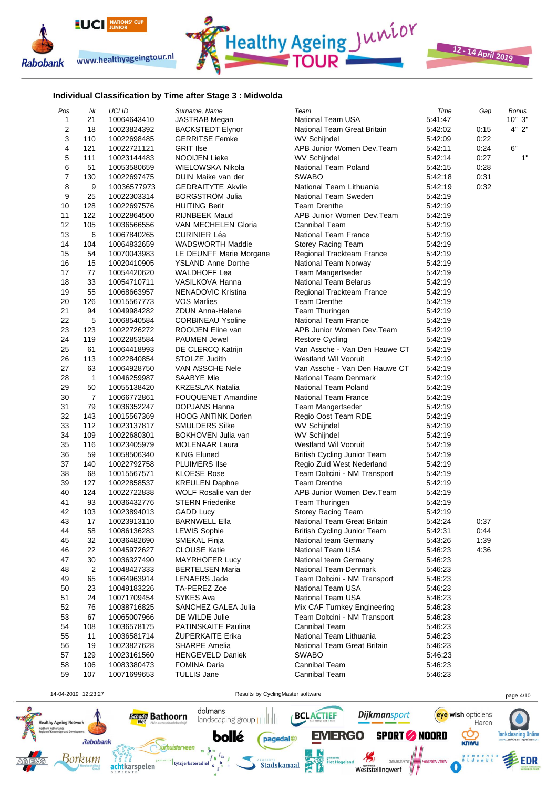



12 - 14 April 2019

#### **Individual Classification by Time after Stage 3 : Midwolda**

| Pos            | Nr           | UCI ID      | Surname, Name             | Team                          | Time    | Gap  | <b>Bonus</b> |
|----------------|--------------|-------------|---------------------------|-------------------------------|---------|------|--------------|
| $\mathbf{1}$   | 21           | 10064643410 | JASTRAB Megan             | <b>National Team USA</b>      | 5:41:47 |      | 10"3"        |
| $\overline{2}$ | 18           | 10023824392 | <b>BACKSTEDT Elynor</b>   | National Team Great Britain   | 5:42:02 | 0:15 | 4" 2"        |
| 3              | 110          | 10022698485 | <b>GERRITSE Femke</b>     | WV Schijndel                  | 5:42:09 | 0:22 |              |
| 4              | 121          | 10022721121 | <b>GRIT Ilse</b>          | APB Junior Women Dev.Team     | 5:42:11 | 0:24 | 6"           |
| 5              | 111          | 10023144483 | <b>NOOIJEN Lieke</b>      | <b>WV Schijndel</b>           | 5:42:14 | 0:27 | 1"           |
| 6              | 51           | 10053580659 | WIELOWSKA Nikola          | National Team Poland          | 5:42:15 | 0:28 |              |
| $\overline{7}$ | 130          | 10022697475 | DUIN Maike van der        | <b>SWABO</b>                  | 5:42:18 | 0:31 |              |
| 8              | 9            | 10036577973 | <b>GEDRAITYTE Akvile</b>  | National Team Lithuania       | 5:42:19 | 0:32 |              |
| 9              | 25           | 10022303314 | <b>BORGSTROM Julia</b>    | National Team Sweden          | 5:42:19 |      |              |
| 10             | 128          | 10022697576 | <b>HUITING Berit</b>      | <b>Team Drenthe</b>           | 5:42:19 |      |              |
| 11             | 122          | 10022864500 | <b>RIJNBEEK Maud</b>      | APB Junior Women Dev.Team     | 5:42:19 |      |              |
| 12             | 105          | 10036566556 | VAN MECHELEN Gloria       | Cannibal Team                 | 5:42:19 |      |              |
| 13             | 6            | 10067840265 | <b>CURINIER Léa</b>       | National Team France          | 5:42:19 |      |              |
| 14             |              |             |                           |                               |         |      |              |
|                | 104          | 10064832659 | <b>WADSWORTH Maddie</b>   | Storey Racing Team            | 5:42:19 |      |              |
| 15             | 54           | 10070043983 | LE DEUNFF Marie Morgane   | Regional Trackteam France     | 5:42:19 |      |              |
| 16             | 15           | 10020410905 | <b>YSLAND Anne Dorthe</b> | National Team Norway          | 5:42:19 |      |              |
| 17             | 77           | 10054420620 | <b>WALDHOFF Lea</b>       | Team Mangertseder             | 5:42:19 |      |              |
| 18             | 33           | 10054710711 | VASILKOVA Hanna           | <b>National Team Belarus</b>  | 5:42:19 |      |              |
| 19             | 55           | 10068663957 | NENADOVIC Kristina        | Regional Trackteam France     | 5:42:19 |      |              |
| 20             | 126          | 10015567773 | <b>VOS Marlies</b>        | <b>Team Drenthe</b>           | 5:42:19 |      |              |
| 21             | 94           | 10049984282 | <b>ZDUN Anna-Helene</b>   | Team Thuringen                | 5:42:19 |      |              |
| 22             | 5            | 10068540584 | <b>CORBINEAU Ysoline</b>  | <b>National Team France</b>   | 5:42:19 |      |              |
| 23             | 123          | 10022726272 | ROOIJEN Eline van         | APB Junior Women Dev.Team     | 5:42:19 |      |              |
| 24             | 119          | 10022853584 | <b>PAUMEN Jewel</b>       | <b>Restore Cycling</b>        | 5:42:19 |      |              |
| 25             | 61           | 10064418993 | DE CLERCQ Katrijn         | Van Assche - Van Den Hauwe CT | 5:42:19 |      |              |
| 26             | 113          | 10022840854 | STOLZE Judith             | <b>Westland Wil Vooruit</b>   | 5:42:19 |      |              |
| 27             | 63           | 10064928750 | VAN ASSCHE Nele           | Van Assche - Van Den Hauwe CT | 5:42:19 |      |              |
| 28             | $\mathbf{1}$ | 10046259987 | <b>SAABYE Mie</b>         | National Team Denmark         | 5:42:19 |      |              |
| 29             | 50           | 10055138420 | <b>KRZESLAK Natalia</b>   | National Team Poland          | 5:42:19 |      |              |
| 30             | 7            | 10066772861 | <b>FOUQUENET Amandine</b> | National Team France          | 5:42:19 |      |              |
| 31             | 79           | 10036352247 | DOPJANS Hanna             | Team Mangertseder             | 5:42:19 |      |              |
| 32             | 143          | 10015567369 | <b>HOOG ANTINK Dorien</b> | Regio Oost Team RDE           | 5:42:19 |      |              |
| 33             | 112          | 10023137817 | <b>SMULDERS Silke</b>     | WV Schijndel                  | 5:42:19 |      |              |
| 34             | 109          | 10022680301 | BOKHOVEN Julia van        | <b>WV Schijndel</b>           | 5:42:19 |      |              |
| 35             | 116          | 10023405979 | <b>MOLENAAR Laura</b>     | Westland Wil Vooruit          | 5:42:19 |      |              |
| 36             | 59           | 10058506340 | <b>KING Eluned</b>        | British Cycling Junior Team   | 5:42:19 |      |              |
| 37             | 140          | 10022792758 | <b>PLUIMERS IIse</b>      | Regio Zuid West Nederland     | 5:42:19 |      |              |
| 38             | 68           | 10015567571 | <b>KLOESE Rose</b>        | Team Doltcini - NM Transport  | 5:42:19 |      |              |
| 39             | 127          | 10022858537 | <b>KREULEN Daphne</b>     | <b>Team Drenthe</b>           | 5:42:19 |      |              |
| 40             | 124          | 10022722838 | WOLF Rosalie van der      | APB Junior Women Dev.Team     | 5:42:19 |      |              |
| 41             | 93           | 10036432776 | <b>STERN Friederike</b>   | Team Thuringen                | 5:42:19 |      |              |
| 42             | 103          | 10023894013 | <b>GADD Lucy</b>          | Storey Racing Team            | 5:42:19 |      |              |
| 43             | 17           | 10023913110 | <b>BARNWELL Ella</b>      | National Team Great Britain   | 5:42:24 | 0:37 |              |
|                |              |             |                           |                               | 5:42:31 |      |              |
| 44             | 58           | 10086136283 | <b>LEWIS Sophie</b>       | British Cycling Junior Team   |         | 0:44 |              |
| 45             | 32           | 10036482690 | SMEKAL Finja              | National team Germany         | 5:43:26 | 1:39 |              |
| 46             | 22           | 10045972627 | <b>CLOUSE Katie</b>       | National Team USA             | 5:46:23 | 4:36 |              |
| 47             | 30           | 10036327490 | <b>MAYRHOFER Lucy</b>     | National team Germany         | 5:46:23 |      |              |
| 48             | 2            | 10048427333 | <b>BERTELSEN Maria</b>    | National Team Denmark         | 5:46:23 |      |              |
| 49             | 65           | 10064963914 | <b>LENAERS Jade</b>       | Team Doltcini - NM Transport  | 5:46:23 |      |              |
| 50             | 23           | 10049183226 | TA-PEREZ Zoe              | National Team USA             | 5:46:23 |      |              |
| 51             | 24           | 10071709454 | SYKES Ava                 | National Team USA             | 5:46:23 |      |              |
| 52             | 76           | 10038716825 | SANCHEZ GALEA Julia       | Mix CAF Turnkey Engineering   | 5:46:23 |      |              |
| 53             | 67           | 10065007966 | DE WILDE Julie            | Team Doltcini - NM Transport  | 5:46:23 |      |              |
| 54             | 108          | 10036578175 | PATINSKAITE Paulina       | <b>Cannibal Team</b>          | 5:46:23 |      |              |
| 55             | 11           | 10036581714 | <b>ZUPERKAITE Erika</b>   | National Team Lithuania       | 5:46:23 |      |              |
| 56             | 19           | 10023827628 | <b>SHARPE Amelia</b>      | National Team Great Britain   | 5:46:23 |      |              |
| 57             | 129          | 10023161560 | <b>HENGEVELD Daniek</b>   | <b>SWABO</b>                  | 5:46:23 |      |              |
| 58             | 106          | 10083380473 | <b>FOMINA Daria</b>       | <b>Cannibal Team</b>          | 5:46:23 |      |              |
| 59             | 107          | 10071699653 | <b>TULLIS Jane</b>        | <b>Cannibal Team</b>          | 5:46:23 |      |              |
|                |              |             |                           |                               |         |      |              |



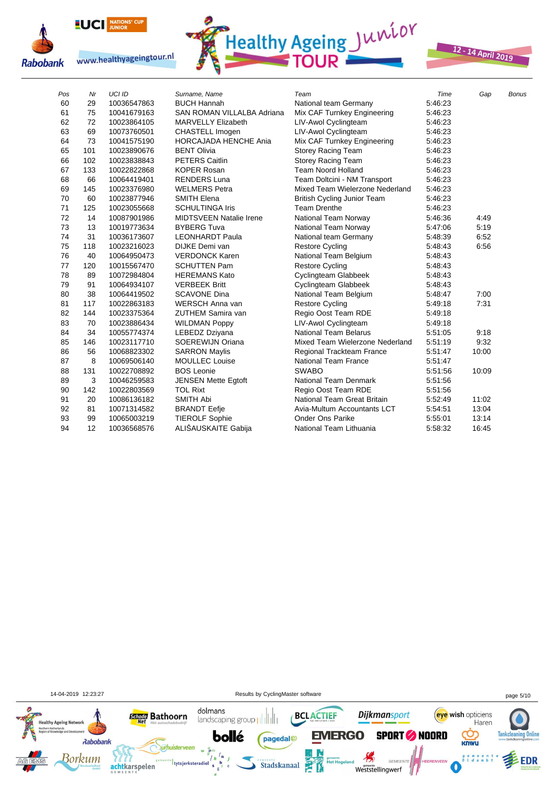





12 - 14 April 2019

| Pos | Nr  | <b>UCI ID</b> | Surname, Name                  | Team                               | Time    | Gap   | <b>Bonus</b> |
|-----|-----|---------------|--------------------------------|------------------------------------|---------|-------|--------------|
| 60  | 29  | 10036547863   | <b>BUCH Hannah</b>             | National team Germany              | 5:46:23 |       |              |
| 61  | 75  | 10041679163   | SAN ROMAN VILLALBA Adriana     | Mix CAF Turnkey Engineering        | 5.46.23 |       |              |
| 62  | 72  | 10023864105   | <b>MARVELLY Elizabeth</b>      | LIV-Awol Cyclingteam               | 5:46:23 |       |              |
| 63  | 69  | 10073760501   | <b>CHASTELL Imogen</b>         | LIV-Awol Cyclingteam               | 5:46:23 |       |              |
| 64  | 73  | 10041575190   | <b>HORCAJADA HENCHE Ania</b>   | Mix CAF Turnkey Engineering        | 5:46:23 |       |              |
| 65  | 101 | 10023890676   | <b>BENT Olivia</b>             | Storey Racing Team                 | 5:46:23 |       |              |
| 66  | 102 | 10023838843   | <b>PETERS Caitlin</b>          | <b>Storey Racing Team</b>          | 5.46.23 |       |              |
| 67  | 133 | 10022822868   | <b>KOPER Rosan</b>             | <b>Team Noord Holland</b>          | 5:46:23 |       |              |
| 68  | 66  | 10064419401   | <b>RENDERS Luna</b>            | Team Doltcini - NM Transport       | 5:46:23 |       |              |
| 69  | 145 | 10023376980   | <b>WELMERS Petra</b>           | Mixed Team Wielerzone Nederland    | 5:46:23 |       |              |
| 70  | 60  | 10023877946   | <b>SMITH Elena</b>             | <b>British Cycling Junior Team</b> | 5:46:23 |       |              |
| 71  | 125 | 10023055668   | <b>SCHULTINGA Iris</b>         | <b>Team Drenthe</b>                | 5:46:23 |       |              |
| 72  | 14  | 10087901986   | <b>MIDTSVEEN Natalie Irene</b> | National Team Norway               | 5:46:36 | 4:49  |              |
| 73  | 13  | 10019773634   | <b>BYBERG Tuva</b>             | National Team Norway               | 5:47:06 | 5:19  |              |
| 74  | 31  | 10036173607   | <b>LEONHARDT Paula</b>         | National team Germany              | 5:48:39 | 6:52  |              |
| 75  | 118 | 10023216023   | DIJKE Demi van                 | <b>Restore Cycling</b>             | 5:48:43 | 6:56  |              |
| 76  | 40  | 10064950473   | <b>VERDONCK Karen</b>          | National Team Belgium              | 5:48:43 |       |              |
| 77  | 120 | 10015567470   | <b>SCHUTTEN Pam</b>            | <b>Restore Cycling</b>             | 5:48:43 |       |              |
| 78  | 89  | 10072984804   | <b>HEREMANS Kato</b>           | Cyclingteam Glabbeek               | 5:48:43 |       |              |
| 79  | 91  | 10064934107   | <b>VERBEEK Britt</b>           | Cyclingteam Glabbeek               | 5:48:43 |       |              |
| 80  | 38  | 10064419502   | <b>SCAVONE Dina</b>            | National Team Belgium              | 5:48:47 | 7:00  |              |
| 81  | 117 | 10022863183   | WERSCH Anna van                | <b>Restore Cycling</b>             | 5:49:18 | 7:31  |              |
| 82  | 144 | 10023375364   | <b>ZUTHEM Samira van</b>       | Regio Oost Team RDE                | 5:49:18 |       |              |
| 83  | 70  | 10023886434   | <b>WILDMAN Poppy</b>           | LIV-Awol Cyclingteam               | 5:49:18 |       |              |
| 84  | 34  | 10055774374   | LEBEDZ Dziyana                 | <b>National Team Belarus</b>       | 5:51:05 | 9:18  |              |
| 85  | 146 | 10023117710   | SOEREWIJN Oriana               | Mixed Team Wielerzone Nederland    | 5:51:19 | 9:32  |              |
| 86  | 56  | 10068823302   | <b>SARRON Maylis</b>           | Regional Trackteam France          | 5:51:47 | 10:00 |              |
| 87  | 8   | 10069506140   | <b>MOULLEC Louise</b>          | <b>National Team France</b>        | 5:51:47 |       |              |
| 88  | 131 | 10022708892   | <b>BOS Leonie</b>              | <b>SWABO</b>                       | 5:51:56 | 10:09 |              |
| 89  | 3   | 10046259583   | <b>JENSEN Mette Egtoft</b>     | National Team Denmark              | 5:51:56 |       |              |
| 90  | 142 | 10022803569   | <b>TOL Rixt</b>                | Regio Oost Team RDE                | 5:51:56 |       |              |
| 91  | 20  | 10086136182   | <b>SMITH Abi</b>               | National Team Great Britain        | 5:52:49 | 11:02 |              |
| 92  | 81  | 10071314582   | <b>BRANDT Eefje</b>            | Avia-Multum Accountants LCT        | 5:54:51 | 13:04 |              |
| 93  | 99  | 10065003219   | <b>TIEROLF Sophie</b>          | <b>Onder Ons Parike</b>            | 5:55:01 | 13:14 |              |
| 94  | 12  | 10036568576   | ALIŠAUSKAITE Gabija            | National Team Lithuania            | 5:58:32 | 16:45 |              |

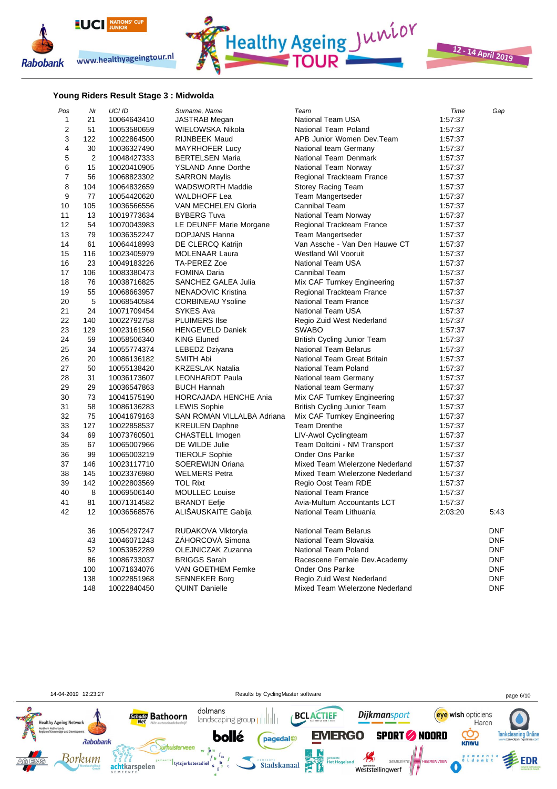



12 - 14 April 2019

#### **Young Riders Result Stage 3 : Midwolda**

| Pos            | Nr             | UCI ID      | Surname, Name              | Team                            | Time    | Gap        |
|----------------|----------------|-------------|----------------------------|---------------------------------|---------|------------|
| 1              | 21             | 10064643410 | <b>JASTRAB</b> Megan       | National Team USA               | 1:57:37 |            |
| $\overline{2}$ | 51             | 10053580659 | WIELOWSKA Nikola           | National Team Poland            | 1:57:37 |            |
| 3              | 122            | 10022864500 | <b>RIJNBEEK Maud</b>       | APB Junior Women Dev.Team       | 1:57:37 |            |
| 4              | 30             | 10036327490 | MAYRHOFER Lucy             | National team Germany           | 1:57:37 |            |
| 5              | $\overline{2}$ | 10048427333 | <b>BERTELSEN Maria</b>     | National Team Denmark           | 1:57:37 |            |
| 6              | 15             | 10020410905 | <b>YSLAND Anne Dorthe</b>  | National Team Norway            | 1:57:37 |            |
| $\overline{7}$ | 56             | 10068823302 | <b>SARRON Maylis</b>       | Regional Trackteam France       | 1:57:37 |            |
| 8              | 104            | 10064832659 | <b>WADSWORTH Maddie</b>    | <b>Storey Racing Team</b>       | 1:57:37 |            |
| 9              | 77             | 10054420620 | <b>WALDHOFF Lea</b>        | Team Mangertseder               | 1:57:37 |            |
| 10             | 105            | 10036566556 | VAN MECHELEN Gloria        | Cannibal Team                   | 1:57:37 |            |
| 11             | 13             | 10019773634 | <b>BYBERG Tuva</b>         | National Team Norway            | 1:57:37 |            |
| 12             | 54             | 10070043983 | LE DEUNFF Marie Morgane    | Regional Trackteam France       | 1:57:37 |            |
| 13             | 79             | 10036352247 | DOPJANS Hanna              | Team Mangertseder               | 1:57:37 |            |
| 14             | 61             | 10064418993 | DE CLERCQ Katrijn          | Van Assche - Van Den Hauwe CT   | 1:57:37 |            |
| 15             | 116            | 10023405979 | <b>MOLENAAR Laura</b>      | Westland Wil Vooruit            | 1:57:37 |            |
| 16             | 23             | 10049183226 | TA-PEREZ Zoe               | <b>National Team USA</b>        | 1:57:37 |            |
| 17             | 106            | 10083380473 | <b>FOMINA Daria</b>        | <b>Cannibal Team</b>            | 1:57:37 |            |
| 18             | 76             | 10038716825 | SANCHEZ GALEA Julia        | Mix CAF Turnkey Engineering     | 1:57:37 |            |
| 19             | 55             | 10068663957 | NENADOVIC Kristina         | Regional Trackteam France       | 1:57:37 |            |
| 20             | 5              | 10068540584 | <b>CORBINEAU Ysoline</b>   | <b>National Team France</b>     | 1:57:37 |            |
| 21             | 24             | 10071709454 | <b>SYKES Ava</b>           | <b>National Team USA</b>        | 1:57:37 |            |
| 22             | 140            | 10022792758 | <b>PLUIMERS IIse</b>       | Regio Zuid West Nederland       | 1:57:37 |            |
| 23             | 129            | 10023161560 | <b>HENGEVELD Daniek</b>    | <b>SWABO</b>                    | 1:57:37 |            |
| 24             | 59             | 10058506340 | <b>KING Eluned</b>         | British Cycling Junior Team     | 1:57:37 |            |
| 25             | 34             | 10055774374 | LEBEDZ Dziyana             | <b>National Team Belarus</b>    | 1:57:37 |            |
| 26             | 20             | 10086136182 | <b>SMITH Abi</b>           | National Team Great Britain     | 1:57:37 |            |
| 27             | 50             | 10055138420 | <b>KRZESLAK Natalia</b>    | National Team Poland            | 1:57:37 |            |
| 28             | 31             | 10036173607 | <b>LEONHARDT Paula</b>     | National team Germany           | 1:57:37 |            |
| 29             | 29             | 10036547863 | <b>BUCH Hannah</b>         | National team Germany           | 1:57:37 |            |
| 30             | 73             | 10041575190 | HORCAJADA HENCHE Ania      | Mix CAF Turnkey Engineering     | 1:57:37 |            |
| 31             | 58             | 10086136283 | <b>LEWIS Sophie</b>        | British Cycling Junior Team     | 1:57:37 |            |
| 32             | 75             | 10041679163 | SAN ROMAN VILLALBA Adriana | Mix CAF Turnkey Engineering     | 1:57:37 |            |
| 33             | 127            | 10022858537 | <b>KREULEN Daphne</b>      | <b>Team Drenthe</b>             | 1:57:37 |            |
| 34             | 69             | 10073760501 | CHASTELL Imogen            | LIV-Awol Cyclingteam            | 1:57:37 |            |
| 35             | 67             | 10065007966 | DE WILDE Julie             | Team Doltcini - NM Transport    | 1:57:37 |            |
| 36             | 99             | 10065003219 | <b>TIEROLF Sophie</b>      | <b>Onder Ons Parike</b>         | 1:57:37 |            |
| 37             | 146            | 10023117710 | SOEREWIJN Oriana           | Mixed Team Wielerzone Nederland | 1:57:37 |            |
| 38             | 145            | 10023376980 | <b>WELMERS Petra</b>       | Mixed Team Wielerzone Nederland | 1.57:37 |            |
| 39             | 142            | 10022803569 | <b>TOL Rixt</b>            | Regio Oost Team RDE             | 1:57:37 |            |
| 40             | 8              | 10069506140 | <b>MOULLEC</b> Louise      | <b>National Team France</b>     | 1:57:37 |            |
| 41             | 81             | 10071314582 | <b>BRANDT Eefje</b>        | Avia-Multum Accountants LCT     | 1:57:37 |            |
| 42             | 12             | 10036568576 | ALISAUSKAITE Gabija        | National Team Lithuania         | 2:03:20 | 5:43       |
|                | 36             | 10054297247 | RUDAKOVA Viktoryia         | <b>National Team Belarus</b>    |         | <b>DNF</b> |
|                | 43             | 10046071243 | ZÁHORCOVÁ Simona           | National Team Slovakia          |         | <b>DNF</b> |
|                | 52             | 10053952289 | <b>OLEJNICZAK Zuzanna</b>  | National Team Poland            |         | <b>DNF</b> |
|                | 86             | 10086733037 | <b>BRIGGS Sarah</b>        | Racescene Female Dev.Academy    |         | <b>DNF</b> |
|                | 100            | 10071634076 | VAN GOETHEM Femke          | Onder Ons Parike                |         | <b>DNF</b> |
|                | 138            | 10022851968 | <b>SENNEKER Borg</b>       | Regio Zuid West Nederland       |         | <b>DNF</b> |
|                | 148            | 10022840450 | <b>QUINT Danielle</b>      | Mixed Team Wielerzone Nederland |         | <b>DNF</b> |

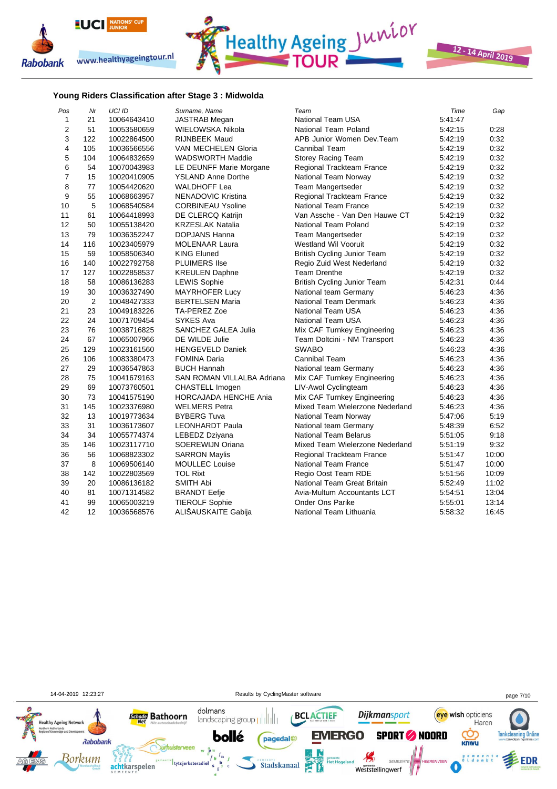





#### **Young Riders Classification after Stage 3 : Midwolda**

| Pos            | Nr             | <b>UCI ID</b> | Surname, Name                | Team                               | Time    | Gap   |
|----------------|----------------|---------------|------------------------------|------------------------------------|---------|-------|
| 1              | 21             | 10064643410   | <b>JASTRAB Megan</b>         | <b>National Team USA</b>           | 5:41:47 |       |
| $\overline{2}$ | 51             | 10053580659   | WIELOWSKA Nikola             | National Team Poland               | 5:42:15 | 0:28  |
| 3              | 122            | 10022864500   | <b>RIJNBEEK Maud</b>         | APB Junior Women Dev.Team          | 5:42:19 | 0:32  |
| 4              | 105            | 10036566556   | VAN MECHELEN Gloria          | Cannibal Team                      | 5:42:19 | 0:32  |
| 5              | 104            | 10064832659   | <b>WADSWORTH Maddie</b>      | <b>Storey Racing Team</b>          | 5:42:19 | 0:32  |
| 6              | 54             | 10070043983   | LE DEUNFF Marie Morgane      | Regional Trackteam France          | 5:42:19 | 0:32  |
| $\overline{7}$ | 15             | 10020410905   | <b>YSLAND Anne Dorthe</b>    | National Team Norway               | 5:42:19 | 0:32  |
| 8              | 77             | 10054420620   | <b>WALDHOFF Lea</b>          | Team Mangertseder                  | 5:42:19 | 0:32  |
| 9              | 55             | 10068663957   | NENADOVIC Kristina           | Regional Trackteam France          | 5:42:19 | 0:32  |
| 10             | 5              | 10068540584   | <b>CORBINEAU Ysoline</b>     | <b>National Team France</b>        | 5:42:19 | 0:32  |
| 11             | 61             | 10064418993   | DE CLERCQ Katrijn            | Van Assche - Van Den Hauwe CT      | 5:42:19 | 0:32  |
| 12             | 50             | 10055138420   | <b>KRZESLAK Natalia</b>      | National Team Poland               | 5:42:19 | 0:32  |
| 13             | 79             | 10036352247   | DOPJANS Hanna                | <b>Team Mangertseder</b>           | 5:42:19 | 0:32  |
| 14             | 116            | 10023405979   | <b>MOLENAAR Laura</b>        | <b>Westland Wil Vooruit</b>        | 5:42:19 | 0:32  |
| 15             | 59             | 10058506340   | <b>KING Eluned</b>           | <b>British Cycling Junior Team</b> | 5:42:19 | 0:32  |
| 16             | 140            | 10022792758   | <b>PLUIMERS IIse</b>         | Regio Zuid West Nederland          | 5:42:19 | 0:32  |
| 17             | 127            | 10022858537   | <b>KREULEN Daphne</b>        | <b>Team Drenthe</b>                | 5:42:19 | 0:32  |
| 18             | 58             | 10086136283   | <b>LEWIS Sophie</b>          | British Cycling Junior Team        | 5:42:31 | 0:44  |
| 19             | 30             | 10036327490   | <b>MAYRHOFER Lucy</b>        | National team Germany              | 5:46:23 | 4:36  |
| 20             | $\overline{2}$ | 10048427333   | <b>BERTELSEN Maria</b>       | National Team Denmark              | 5:46:23 | 4.36  |
| 21             | 23             | 10049183226   | TA-PEREZ Zoe                 | National Team USA                  | 5:46:23 | 4:36  |
| 22             | 24             | 10071709454   | SYKES Ava                    | National Team USA                  | 5:46:23 | 4:36  |
| 23             | 76             | 10038716825   | SANCHEZ GALEA Julia          | Mix CAF Turnkey Engineering        | 5.46.23 | 4:36  |
| 24             | 67             | 10065007966   | DE WILDE Julie               | Team Doltcini - NM Transport       | 5:46:23 | 4:36  |
| 25             | 129            | 10023161560   | <b>HENGEVELD Daniek</b>      | <b>SWABO</b>                       | 5:46:23 | 4:36  |
| 26             | 106            | 10083380473   | <b>FOMINA Daria</b>          | <b>Cannibal Team</b>               | 5:46:23 | 4:36  |
| 27             | 29             | 10036547863   | <b>BUCH Hannah</b>           | National team Germany              | 5:46:23 | 4:36  |
| 28             | 75             | 10041679163   | SAN ROMAN VILLALBA Adriana   | Mix CAF Turnkey Engineering        | 5:46:23 | 4:36  |
| 29             | 69             | 10073760501   | CHASTELL Imogen              | LIV-Awol Cyclingteam               | 5:46:23 | 4:36  |
| 30             | 73             | 10041575190   | <b>HORCAJADA HENCHE Ania</b> | Mix CAF Turnkey Engineering        | 5:46:23 | 4:36  |
| 31             | 145            | 10023376980   | <b>WELMERS Petra</b>         | Mixed Team Wielerzone Nederland    | 5:46.23 | 4:36  |
| 32             | 13             | 10019773634   | <b>BYBERG Tuva</b>           | National Team Norway               | 5:47:06 | 5:19  |
| 33             | 31             | 10036173607   | <b>LEONHARDT Paula</b>       | National team Germany              | 5:48:39 | 6:52  |
| 34             | 34             | 10055774374   | LEBEDZ Dziyana               | <b>National Team Belarus</b>       | 5:51:05 | 9:18  |
| 35             | 146            | 10023117710   | SOEREWIJN Oriana             | Mixed Team Wielerzone Nederland    | 5:51:19 | 9:32  |
| 36             | 56             | 10068823302   | <b>SARRON Maylis</b>         | Regional Trackteam France          | 5.51.47 | 10:00 |
| 37             | 8              | 10069506140   | <b>MOULLEC</b> Louise        | <b>National Team France</b>        | 5:51:47 | 10:00 |
| 38             | 142            | 10022803569   | <b>TOL Rixt</b>              | Regio Oost Team RDE                | 5:51:56 | 10:09 |
| 39             | 20             | 10086136182   | <b>SMITH Abi</b>             | National Team Great Britain        | 5:52:49 | 11:02 |
| 40             | 81             | 10071314582   | <b>BRANDT Eefje</b>          | Avia-Multum Accountants LCT        | 5:54:51 | 13:04 |
| 41             | 99             | 10065003219   | <b>TIEROLF Sophie</b>        | <b>Onder Ons Parike</b>            | 5:55:01 | 13:14 |
| 42             | 12             | 10036568576   | ALIŠAUSKAITE Gabija          | National Team Lithuania            | 5:58:32 | 16:45 |

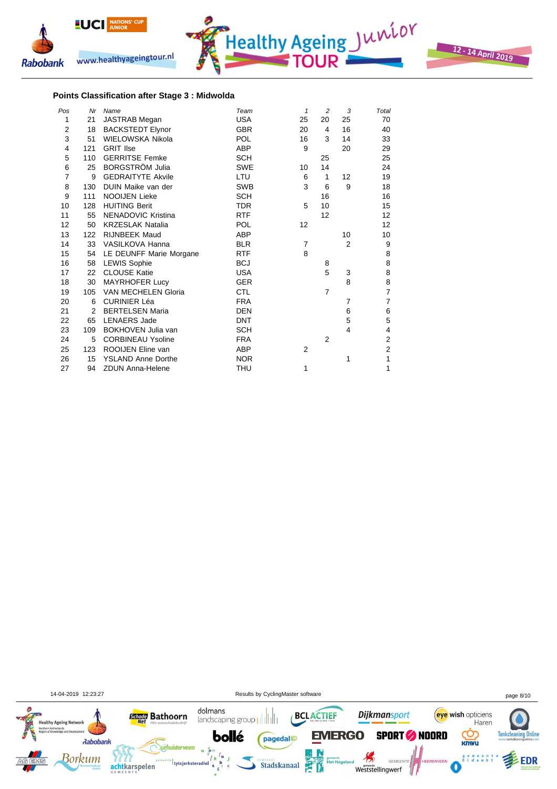



#### **Points Classification after Stage 3 : Midwolda**

| Pos            | Nr  | Name                       | Team       | $\mathbf{1}$   | $\overline{c}$ | 3              | Total          |
|----------------|-----|----------------------------|------------|----------------|----------------|----------------|----------------|
| 1              | 21  | <b>JASTRAB Megan</b>       | <b>USA</b> | 25             | 20             | 25             | 70             |
| $\overline{2}$ | 18  | <b>BACKSTEDT Elynor</b>    | <b>GBR</b> | 20             | 4              | 16             | 40             |
| 3              | 51  | WIELOWSKA Nikola           | <b>POL</b> | 16             | 3              | 14             | 33             |
| 4              | 121 | <b>GRIT Ilse</b>           | ABP        | 9              |                | 20             | 29             |
| 5              | 110 | <b>GERRITSE Femke</b>      | <b>SCH</b> |                | 25             |                | 25             |
| 6              | 25  | <b>BORGSTRÖM Julia</b>     | <b>SWE</b> | 10             | 14             |                | 24             |
| 7              | 9   | <b>GEDRAITYTE Akvile</b>   | LTU        | 6              | 1              | 12             | 19             |
| 8              | 130 | DUIN Maike van der         | <b>SWB</b> | 3              | 6              | 9              | 18             |
| 9              | 111 | <b>NOOIJEN Lieke</b>       | <b>SCH</b> |                | 16             |                | 16             |
| 10             | 128 | <b>HUITING Berit</b>       | <b>TDR</b> | 5              | 10             |                | 15             |
| 11             | 55  | <b>NENADOVIC Kristina</b>  | <b>RTF</b> |                | 12             |                | 12             |
| 12             | 50  | <b>KRZESLAK Natalia</b>    | <b>POL</b> | 12             |                |                | 12             |
| 13             | 122 | RIJNBEEK Maud              | ABP        |                |                | 10             | 10             |
| 14             | 33  | VASILKOVA Hanna            | <b>BLR</b> | 7              |                | $\overline{2}$ | 9              |
| 15             | 54  | LE DEUNFF Marie Morgane    | <b>RTF</b> | 8              |                |                | 8              |
| 16             | 58  | <b>LEWIS Sophie</b>        | <b>BCJ</b> |                | 8              |                | 8              |
| 17             | 22  | <b>CLOUSE Katie</b>        | <b>USA</b> |                | 5              | 3              | 8              |
| 18             | 30  | <b>MAYRHOFER Lucy</b>      | <b>GER</b> |                |                | 8              | 8              |
| 19             | 105 | <b>VAN MECHELEN Gloria</b> | <b>CTL</b> |                | $\overline{7}$ |                | 7              |
| 20             | 6   | <b>CURINIER Léa</b>        | <b>FRA</b> |                |                | 7              | $\overline{7}$ |
| 21             | 2   | <b>BERTELSEN Maria</b>     | <b>DEN</b> |                |                | 6              | 6              |
| 22             | 65  | <b>LENAERS</b> Jade        | <b>DNT</b> |                |                | 5              | 5              |
| 23             | 109 | BOKHOVEN Julia van         | <b>SCH</b> |                |                | $\overline{4}$ | 4              |
| 24             | 5   | <b>CORBINEAU Ysoline</b>   | <b>FRA</b> |                | 2              |                | 2              |
| 25             | 123 | ROOIJEN Eline van          | <b>ABP</b> | $\overline{2}$ |                |                | $\overline{2}$ |
| 26             | 15  | <b>YSLAND Anne Dorthe</b>  | <b>NOR</b> |                |                | 1              | 1              |
| 27             | 94  | <b>ZDUN Anna-Helene</b>    | THU        | 1              |                |                | 1              |

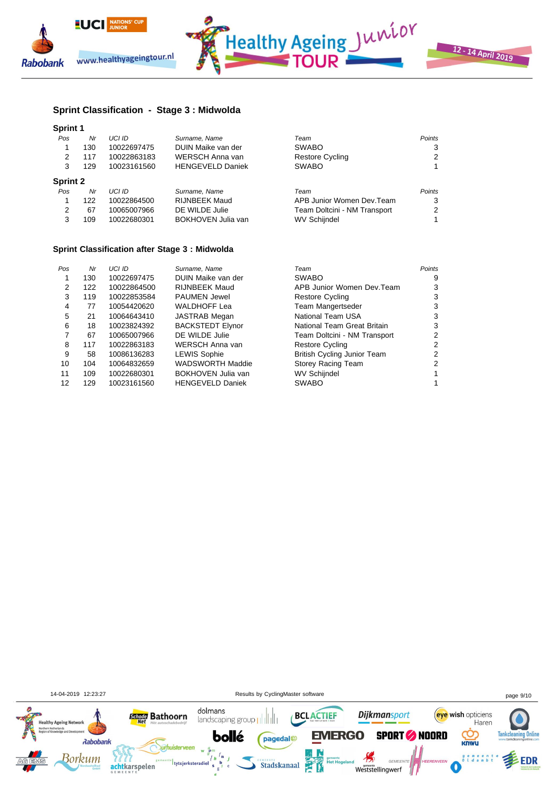



## **Sprint Classification - Stage 3 : Midwolda**

| <b>Sprint 1</b> |     |               |                         |                              |               |
|-----------------|-----|---------------|-------------------------|------------------------------|---------------|
| Pos             | Nr  | <b>UCI ID</b> | Surname, Name           | Team                         | <b>Points</b> |
|                 | 130 | 10022697475   | DUIN Maike van der      | <b>SWABO</b>                 | 3             |
| 2               | 117 | 10022863183   | WERSCH Anna van         | <b>Restore Cycling</b>       | 2             |
| 3               | 129 | 10023161560   | <b>HENGEVELD Daniek</b> | <b>SWABO</b>                 |               |
| <b>Sprint 2</b> |     |               |                         |                              |               |
| Pos             | Nr  | UCI ID        | Surname, Name           | Team                         | Points        |
|                 | 122 | 10022864500   | <b>RIJNBEEK Maud</b>    | APB Junior Women Dev.Team    | 3             |
| 2               | 67  | 10065007966   | DE WILDE Julie          | Team Doltcini - NM Transport | 2             |
| 3               | 109 | 10022680301   | BOKHOVEN Julia van      | <b>WV Schijndel</b>          |               |

## **Sprint Classification after Stage 3 : Midwolda**

| Pos | Nr  | <b>UCI ID</b> | Surname, Name           | Team                         | Points |
|-----|-----|---------------|-------------------------|------------------------------|--------|
|     | 130 | 10022697475   | DUIN Maike van der      | <b>SWABO</b>                 | 9      |
| 2   | 122 | 10022864500   | <b>RIJNBEEK Maud</b>    | APB Junior Women Dev. Team   |        |
| 3   | 119 | 10022853584   | <b>PAUMEN Jewel</b>     | <b>Restore Cycling</b>       |        |
| 4   | 77  | 10054420620   | <b>WALDHOFF Lea</b>     | Team Mangertseder            |        |
| 5   | 21  | 10064643410   | <b>JASTRAB Megan</b>    | National Team USA            |        |
| 6   | 18  | 10023824392   | <b>BACKSTEDT Elynor</b> | National Team Great Britain  | 3      |
|     | 67  | 10065007966   | DE WILDE Julie          | Team Doltcini - NM Transport | 2      |
| 8   | 117 | 10022863183   | WERSCH Anna van         | <b>Restore Cycling</b>       |        |
| 9   | 58  | 10086136283   | <b>LEWIS Sophie</b>     | British Cycling Junior Team  |        |
| 10  | 104 | 10064832659   | <b>WADSWORTH Maddie</b> | <b>Storey Racing Team</b>    |        |
| 11  | 109 | 10022680301   | BOKHOVEN Julia van      | <b>WV Schijndel</b>          |        |
| 12  | 129 | 10023161560   | <b>HENGEVELD Daniek</b> | <b>SWABO</b>                 |        |